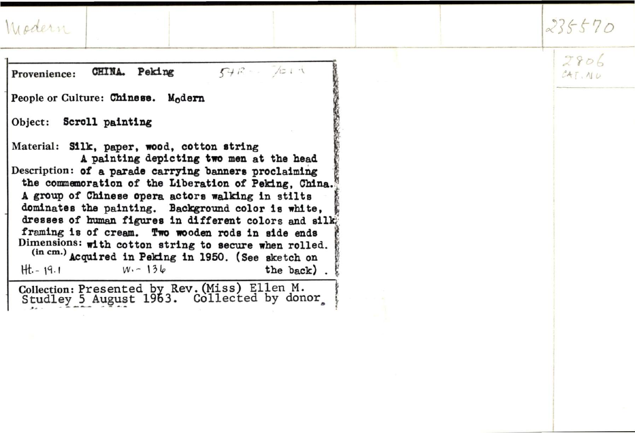|  |  | World |  |  |
|--|--|-------|--|--|
|  |  |       |  |  |

| Modern                                                                                                                                                                                                                                                                                                                                                                                                                                                                                                                                                                                                                | 235570          |
|-----------------------------------------------------------------------------------------------------------------------------------------------------------------------------------------------------------------------------------------------------------------------------------------------------------------------------------------------------------------------------------------------------------------------------------------------------------------------------------------------------------------------------------------------------------------------------------------------------------------------|-----------------|
| $54B - 7011$<br>CHINA. Peking<br>Provenience:                                                                                                                                                                                                                                                                                                                                                                                                                                                                                                                                                                         | 2806<br>CAT, NU |
| People or Culture: Chinese. Modern                                                                                                                                                                                                                                                                                                                                                                                                                                                                                                                                                                                    |                 |
| Object: Scroll painting<br>Material: Silk, paper, wood, cotton string<br>A painting depicting two men at the head<br>Description: of a parade carrying banners proclaiming<br>the commemoration of the Liberation of Peking, China.<br>A group of Chinese opera actors walking in stilts<br>dominates the painting. Background color is white,<br>dresses of human figures in different colors and silk<br>framing is of cream. Two wooden rods in side ends<br>Dimensions: with cotton string to secure when rolled.<br>(in cm.) Acquired in Peking in 1950. (See sketch on<br>$W - 136$<br>$Ht - 19.1$<br>the back) |                 |
| Collection: Presented by Rev. (Miss) Ellen M.<br>Studley 5 August 1963. Collected by donor                                                                                                                                                                                                                                                                                                                                                                                                                                                                                                                            |                 |